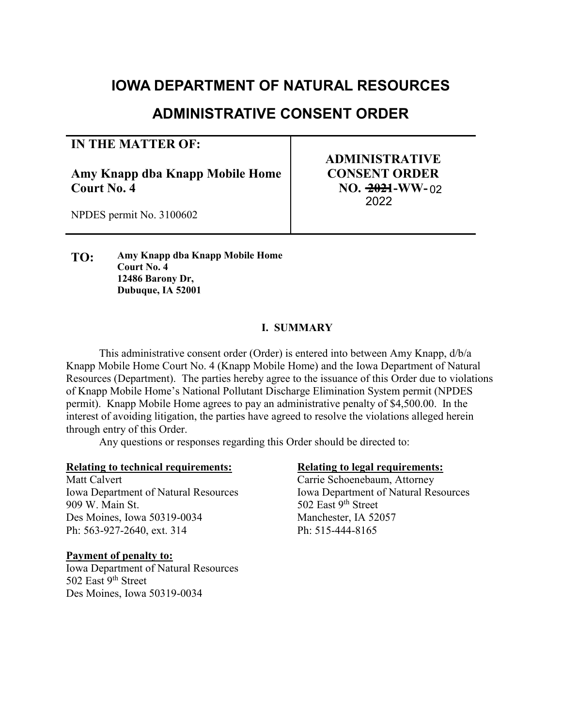# **JOWA DEPARTMENT OF NATURAL RESOURCES**

# **ADMINISTRATIVE CONSENT ORDER**

## **IN THE MATTER OF:**

**Amy Knapp dba Knapp Mobile Home Court No. 4** 

**ADMINISTRATIVE CONSENT ORDER NO. 2021-WW-**022022

NPDES permit No. 3100602

**TO: Amy Knapp dba Knapp Mobile Home Court No. 4 12486 Barony Dr, Dubuque, IA 52001** 

## **I. SUMMARY**

 This administrative consent order (Order) is entered into between Amy Knapp, d/b/a Knapp Mobile Home Court No. 4 (Knapp Mobile Home) and the Iowa Department of Natural Resources (Department). The parties hereby agree to the issuance of this Order due to violations of Knapp Mobile Home's National Pollutant Discharge Elimination System permit (NPDES permit). Knapp Mobile Home agrees to pay an administrative penalty of \$4,500.00. In the interest of avoiding litigation, the parties have agreed to resolve the violations alleged herein through entry of this Order.

Any questions or responses regarding this Order should be directed to:

#### **Relating to technical requirements: Relating to legal requirements:**

Matt Calvert Carrie Schoenebaum, Attorney Iowa Department of Natural Resources Iowa Department of Natural Resources 909 W. Main St. 602 East 9th Street Des Moines, Iowa 50319-0034 Manchester, IA 52057 Ph: 563-927-2640, ext. 314 Ph: 515-444-8165

#### **Payment of penalty to:**

Iowa Department of Natural Resources 502 East 9<sup>th</sup> Street Des Moines, Iowa 50319-0034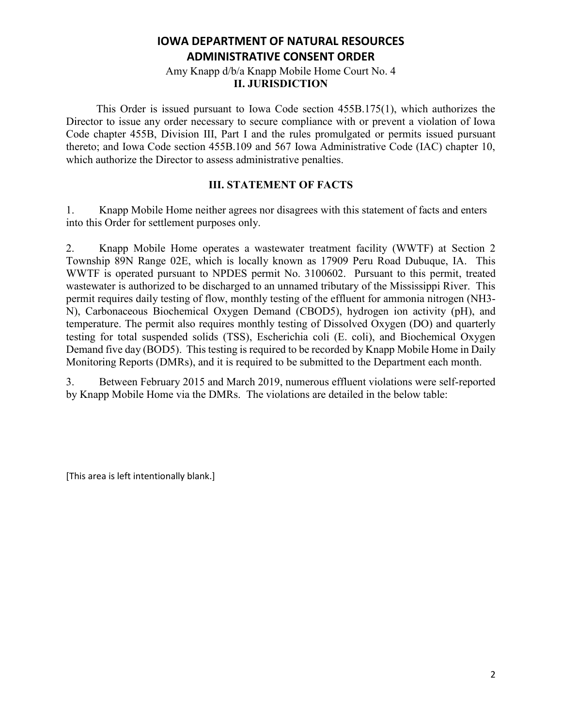#### Amy Knapp d/b/a Knapp Mobile Home Court No. 4 **II. JURISDICTION**

 This Order is issued pursuant to Iowa Code section 455B.175(1), which authorizes the Director to issue any order necessary to secure compliance with or prevent a violation of Iowa Code chapter 455B, Division III, Part I and the rules promulgated or permits issued pursuant thereto; and Iowa Code section 455B.109 and 567 Iowa Administrative Code (IAC) chapter 10, which authorize the Director to assess administrative penalties.

### **III. STATEMENT OF FACTS**

1. Knapp Mobile Home neither agrees nor disagrees with this statement of facts and enters into this Order for settlement purposes only.

2. Knapp Mobile Home operates a wastewater treatment facility (WWTF) at Section 2 Township 89N Range 02E, which is locally known as 17909 Peru Road Dubuque, IA. This WWTF is operated pursuant to NPDES permit No. 3100602. Pursuant to this permit, treated wastewater is authorized to be discharged to an unnamed tributary of the Mississippi River. This permit requires daily testing of flow, monthly testing of the effluent for ammonia nitrogen (NH3- N), Carbonaceous Biochemical Oxygen Demand (CBOD5), hydrogen ion activity (pH), and temperature. The permit also requires monthly testing of Dissolved Oxygen (DO) and quarterly testing for total suspended solids (TSS), Escherichia coli (E. coli), and Biochemical Oxygen Demand five day (BOD5). This testing is required to be recorded by Knapp Mobile Home in Daily Monitoring Reports (DMRs), and it is required to be submitted to the Department each month.

3. Between February 2015 and March 2019, numerous effluent violations were self-reported by Knapp Mobile Home via the DMRs. The violations are detailed in the below table:

[This area is left intentionally blank.]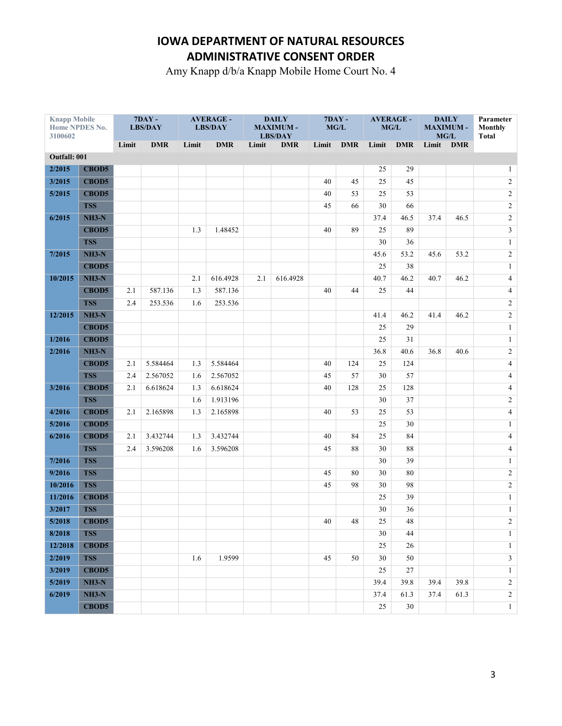Amy Knapp d/b/a Knapp Mobile Home Court No. 4

| <b>Knapp Mobile</b><br>Home NPDES No.<br>3100602 |              | $7DAY -$<br><b>LBS/DAY</b> |            | <b>AVERAGE -</b><br><b>LBS/DAY</b> |            | <b>DAILY</b><br><b>MAXIMUM-</b><br><b>LBS/DAY</b> |            | <b>7DAY -</b><br>MG/L |             | <b>AVERAGE -</b><br>MG/L |            | <b>DAILY</b><br><b>MAXIMUM-</b><br>MG/L |            | Parameter<br><b>Monthly</b><br><b>Total</b> |
|--------------------------------------------------|--------------|----------------------------|------------|------------------------------------|------------|---------------------------------------------------|------------|-----------------------|-------------|--------------------------|------------|-----------------------------------------|------------|---------------------------------------------|
|                                                  |              | Limit                      | <b>DMR</b> | Limit                              | <b>DMR</b> | Limit                                             | <b>DMR</b> | Limit                 | <b>DMR</b>  | Limit                    | <b>DMR</b> | Limit                                   | <b>DMR</b> |                                             |
| Outfall: 001                                     |              |                            |            |                                    |            |                                                   |            |                       |             |                          |            |                                         |            |                                             |
| 2/2015                                           | <b>CBOD5</b> |                            |            |                                    |            |                                                   |            |                       |             | 25                       | 29         |                                         |            | $\mathbf{1}$                                |
| 3/2015                                           | <b>CBOD5</b> |                            |            |                                    |            |                                                   |            | 40                    | 45          | 25                       | 45         |                                         |            | $\sqrt{2}$                                  |
| 5/2015                                           | <b>CBOD5</b> |                            |            |                                    |            |                                                   |            | 40                    | 53          | 25                       | 53         |                                         |            | $\overline{c}$                              |
|                                                  | <b>TSS</b>   |                            |            |                                    |            |                                                   |            | 45                    | 66          | 30                       | 66         |                                         |            | $\overline{c}$                              |
| 6/2015                                           | $NH3-N$      |                            |            |                                    |            |                                                   |            |                       |             | 37.4                     | 46.5       | 37.4                                    | 46.5       | $\overline{c}$                              |
|                                                  | <b>CBOD5</b> |                            |            | 1.3                                | 1.48452    |                                                   |            | 40                    | 89          | 25                       | 89         |                                         |            | $\mathfrak{Z}$                              |
|                                                  | <b>TSS</b>   |                            |            |                                    |            |                                                   |            |                       |             | 30                       | 36         |                                         |            | $\mathbf{1}$                                |
| 7/2015                                           | $NH3-N$      |                            |            |                                    |            |                                                   |            |                       |             | 45.6                     | 53.2       | 45.6                                    | 53.2       | $\sqrt{2}$                                  |
|                                                  | <b>CBOD5</b> |                            |            |                                    |            |                                                   |            |                       |             | 25                       | 38         |                                         |            | $\mathbf{1}$                                |
| 10/2015                                          | $NH3-N$      |                            |            | 2.1                                | 616.4928   | 2.1                                               | 616.4928   |                       |             | 40.7                     | 46.2       | 40.7                                    | 46.2       | 4                                           |
|                                                  | <b>CBOD5</b> | 2.1                        | 587.136    | 1.3                                | 587.136    |                                                   |            | 40                    | 44          | 25                       | 44         |                                         |            | $\overline{4}$                              |
|                                                  | <b>TSS</b>   | 2.4                        | 253.536    | 1.6                                | 253.536    |                                                   |            |                       |             |                          |            |                                         |            | $\overline{c}$                              |
| 12/2015                                          | $NH3-N$      |                            |            |                                    |            |                                                   |            |                       |             | 41.4                     | 46.2       | 41.4                                    | 46.2       | $\overline{c}$                              |
|                                                  | <b>CBOD5</b> |                            |            |                                    |            |                                                   |            |                       |             | 25                       | 29         |                                         |            | $\mathbf{1}$                                |
| 1/2016                                           | <b>CBOD5</b> |                            |            |                                    |            |                                                   |            |                       |             | 25                       | 31         |                                         |            | $\mathbf{1}$                                |
| 2/2016                                           | $NH3-N$      |                            |            |                                    |            |                                                   |            |                       |             | 36.8                     | 40.6       | 36.8                                    | 40.6       | $\overline{c}$                              |
|                                                  | <b>CBOD5</b> | 2.1                        | 5.584464   | 1.3                                | 5.584464   |                                                   |            | 40                    | 124         | 25                       | 124        |                                         |            | $\overline{4}$                              |
|                                                  | <b>TSS</b>   | 2.4                        | 2.567052   | 1.6                                | 2.567052   |                                                   |            | 45                    | 57          | 30                       | 57         |                                         |            | $\overline{4}$                              |
| 3/2016                                           | <b>CBOD5</b> | 2.1                        | 6.618624   | 1.3                                | 6.618624   |                                                   |            | 40                    | 128         | 25                       | 128        |                                         |            | $\overline{4}$                              |
|                                                  | <b>TSS</b>   |                            |            | 1.6                                | 1.913196   |                                                   |            |                       |             | 30                       | 37         |                                         |            | $\overline{c}$                              |
| 4/2016                                           | <b>CBOD5</b> | 2.1                        | 2.165898   | 1.3                                | 2.165898   |                                                   |            | 40                    | 53          | 25                       | 53         |                                         |            | $\overline{\mathbf{4}}$                     |
| 5/2016                                           | <b>CBOD5</b> |                            |            |                                    |            |                                                   |            |                       |             | 25                       | 30         |                                         |            | $\mathbf{1}$                                |
| 6/2016                                           | <b>CBOD5</b> | 2.1                        | 3.432744   | 1.3                                | 3.432744   |                                                   |            | 40                    | 84          | 25                       | 84         |                                         |            | $\overline{4}$                              |
|                                                  | <b>TSS</b>   | 2.4                        | 3.596208   | 1.6                                | 3.596208   |                                                   |            | 45                    | 88          | 30                       | 88         |                                         |            | 4                                           |
| 7/2016                                           | <b>TSS</b>   |                            |            |                                    |            |                                                   |            |                       |             | 30                       | 39         |                                         |            | $\mathbf{1}$                                |
| 9/2016                                           | <b>TSS</b>   |                            |            |                                    |            |                                                   |            | 45                    | 80          | 30                       | 80         |                                         |            | $\overline{c}$                              |
| 10/2016                                          | <b>TSS</b>   |                            |            |                                    |            |                                                   |            | 45                    | 98          | 30                       | 98         |                                         |            | $\overline{c}$                              |
| 11/2016                                          | <b>CBOD5</b> |                            |            |                                    |            |                                                   |            |                       |             | 25                       | 39         |                                         |            | $\mathbf{1}$                                |
| 3/2017                                           | <b>TSS</b>   |                            |            |                                    |            |                                                   |            |                       |             | 30                       | 36         |                                         |            | $\mathbf{1}$                                |
| 5/2018                                           | CBOD5        |                            |            |                                    |            |                                                   |            | 40                    | $\sqrt{48}$ | 25                       | 48         |                                         |            | $\overline{2}$                              |
| 8/2018                                           | <b>TSS</b>   |                            |            |                                    |            |                                                   |            |                       |             | 30                       | 44         |                                         |            | $\mathbf{1}$                                |
| 12/2018                                          | <b>CBOD5</b> |                            |            |                                    |            |                                                   |            |                       |             | 25                       | 26         |                                         |            | $\mathbf{1}$                                |
| 2/2019                                           | TSS          |                            |            | 1.6                                | 1.9599     |                                                   |            | 45                    | 50          | 30                       | 50         |                                         |            | $\overline{\mathbf{3}}$                     |
| 3/2019                                           | <b>CBOD5</b> |                            |            |                                    |            |                                                   |            |                       |             | 25                       | 27         |                                         |            | $\mathbf{1}$                                |
| 5/2019                                           | $NH3-N$      |                            |            |                                    |            |                                                   |            |                       |             | 39.4                     | 39.8       | 39.4                                    | 39.8       | $\overline{2}$                              |
| 6/2019                                           | $NH3-N$      |                            |            |                                    |            |                                                   |            |                       |             | 37.4                     | 61.3       | 37.4                                    | 61.3       | $\overline{2}$                              |
|                                                  | <b>CBOD5</b> |                            |            |                                    |            |                                                   |            |                       |             | 25                       | 30         |                                         |            | $\mathbf{1}$                                |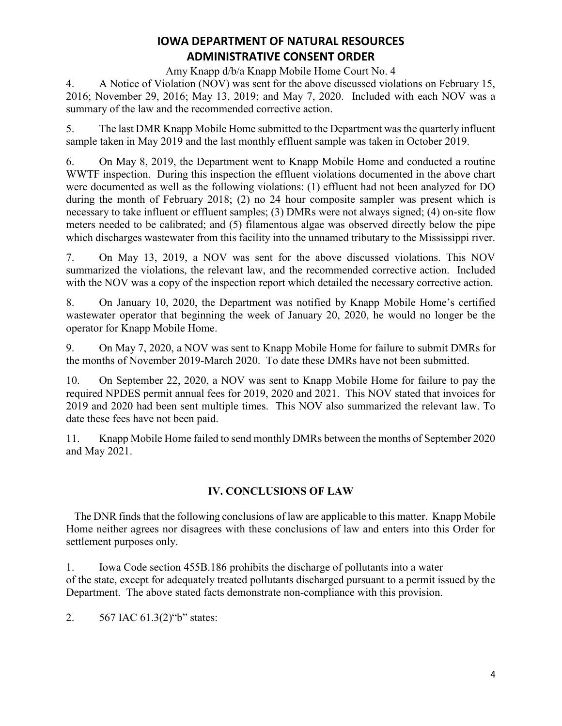Amy Knapp d/b/a Knapp Mobile Home Court No. 4

4. A Notice of Violation (NOV) was sent for the above discussed violations on February 15, 2016; November 29, 2016; May 13, 2019; and May 7, 2020. Included with each NOV was a summary of the law and the recommended corrective action.

5. The last DMR Knapp Mobile Home submitted to the Department was the quarterly influent sample taken in May 2019 and the last monthly effluent sample was taken in October 2019.

6. On May 8, 2019, the Department went to Knapp Mobile Home and conducted a routine WWTF inspection. During this inspection the effluent violations documented in the above chart were documented as well as the following violations: (1) effluent had not been analyzed for DO during the month of February 2018; (2) no 24 hour composite sampler was present which is necessary to take influent or effluent samples; (3) DMRs were not always signed; (4) on-site flow meters needed to be calibrated; and (5) filamentous algae was observed directly below the pipe which discharges wastewater from this facility into the unnamed tributary to the Mississippi river.

7. On May 13, 2019, a NOV was sent for the above discussed violations. This NOV summarized the violations, the relevant law, and the recommended corrective action. Included with the NOV was a copy of the inspection report which detailed the necessary corrective action.

8. On January 10, 2020, the Department was notified by Knapp Mobile Home's certified wastewater operator that beginning the week of January 20, 2020, he would no longer be the operator for Knapp Mobile Home.

9. On May 7, 2020, a NOV was sent to Knapp Mobile Home for failure to submit DMRs for the months of November 2019-March 2020. To date these DMRs have not been submitted.

10. On September 22, 2020, a NOV was sent to Knapp Mobile Home for failure to pay the required NPDES permit annual fees for 2019, 2020 and 2021. This NOV stated that invoices for 2019 and 2020 had been sent multiple times. This NOV also summarized the relevant law. To date these fees have not been paid.

11. Knapp Mobile Home failed to send monthly DMRs between the months of September 2020 and May 2021.

## **IV. CONCLUSIONS OF LAW**

The DNR finds that the following conclusions of law are applicable to this matter. Knapp Mobile Home neither agrees nor disagrees with these conclusions of law and enters into this Order for settlement purposes only.

1. Iowa Code section 455B.186 prohibits the discharge of pollutants into a water of the state, except for adequately treated pollutants discharged pursuant to a permit issued by the Department. The above stated facts demonstrate non-compliance with this provision.

2.  $567$  IAC  $61.3(2)$ "b" states: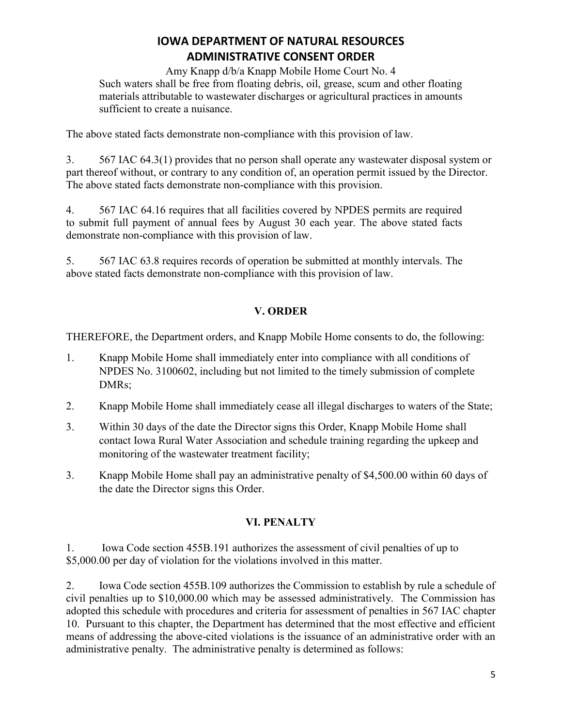Amy Knapp d/b/a Knapp Mobile Home Court No. 4 Such waters shall be free from floating debris, oil, grease, scum and other floating materials attributable to wastewater discharges or agricultural practices in amounts sufficient to create a nuisance.

The above stated facts demonstrate non-compliance with this provision of law.

3. 567 IAC 64.3(1) provides that no person shall operate any wastewater disposal system or part thereof without, or contrary to any condition of, an operation permit issued by the Director. The above stated facts demonstrate non-compliance with this provision.

4. 567 IAC 64.16 requires that all facilities covered by NPDES permits are required to submit full payment of annual fees by August 30 each year. The above stated facts demonstrate non-compliance with this provision of law.

5. 567 IAC 63.8 requires records of operation be submitted at monthly intervals. The above stated facts demonstrate non-compliance with this provision of law.

## **V. ORDER**

THEREFORE, the Department orders, and Knapp Mobile Home consents to do, the following:

- 1. Knapp Mobile Home shall immediately enter into compliance with all conditions of NPDES No. 3100602, including but not limited to the timely submission of complete DMRs;
- 2. Knapp Mobile Home shall immediately cease all illegal discharges to waters of the State;
- 3. Within 30 days of the date the Director signs this Order, Knapp Mobile Home shall contact Iowa Rural Water Association and schedule training regarding the upkeep and monitoring of the wastewater treatment facility;
- 3. Knapp Mobile Home shall pay an administrative penalty of \$4,500.00 within 60 days of the date the Director signs this Order.

## **VI. PENALTY**

1. Iowa Code section 455B.191 authorizes the assessment of civil penalties of up to \$5,000.00 per day of violation for the violations involved in this matter.

2. Iowa Code section 455B.109 authorizes the Commission to establish by rule a schedule of civil penalties up to \$10,000.00 which may be assessed administratively. The Commission has adopted this schedule with procedures and criteria for assessment of penalties in 567 IAC chapter 10. Pursuant to this chapter, the Department has determined that the most effective and efficient means of addressing the above-cited violations is the issuance of an administrative order with an administrative penalty. The administrative penalty is determined as follows: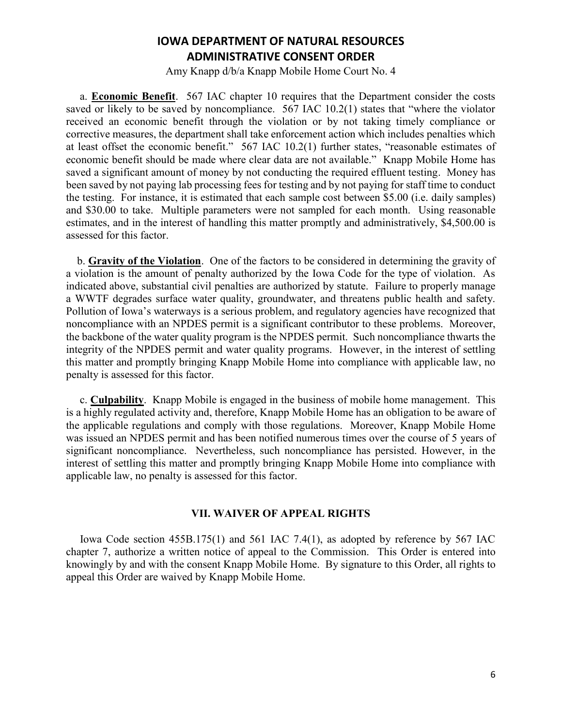Amy Knapp d/b/a Knapp Mobile Home Court No. 4

 a. **Economic Benefit**. 567 IAC chapter 10 requires that the Department consider the costs saved or likely to be saved by noncompliance. 567 IAC 10.2(1) states that "where the violator received an economic benefit through the violation or by not taking timely compliance or corrective measures, the department shall take enforcement action which includes penalties which at least offset the economic benefit."  $567$  IAC 10.2(1) further states, "reasonable estimates of economic benefit should be made where clear data are not available." Knapp Mobile Home has saved a significant amount of money by not conducting the required effluent testing. Money has been saved by not paying lab processing fees for testing and by not paying for staff time to conduct the testing. For instance, it is estimated that each sample cost between \$5.00 (i.e. daily samples) and \$30.00 to take. Multiple parameters were not sampled for each month. Using reasonable estimates, and in the interest of handling this matter promptly and administratively, \$4,500.00 is assessed for this factor.

 b. **Gravity of the Violation**. One of the factors to be considered in determining the gravity of a violation is the amount of penalty authorized by the Iowa Code for the type of violation. As indicated above, substantial civil penalties are authorized by statute. Failure to properly manage a WWTF degrades surface water quality, groundwater, and threatens public health and safety. Pollution of Iowa's waterways is a serious problem, and regulatory agencies have recognized that noncompliance with an NPDES permit is a significant contributor to these problems. Moreover, the backbone of the water quality program is the NPDES permit. Such noncompliance thwarts the integrity of the NPDES permit and water quality programs. However, in the interest of settling this matter and promptly bringing Knapp Mobile Home into compliance with applicable law, no penalty is assessed for this factor.

 c. **Culpability**. Knapp Mobile is engaged in the business of mobile home management. This is a highly regulated activity and, therefore, Knapp Mobile Home has an obligation to be aware of the applicable regulations and comply with those regulations. Moreover, Knapp Mobile Home was issued an NPDES permit and has been notified numerous times over the course of 5 years of significant noncompliance. Nevertheless, such noncompliance has persisted. However, in the interest of settling this matter and promptly bringing Knapp Mobile Home into compliance with applicable law, no penalty is assessed for this factor.

#### **VII. WAIVER OF APPEAL RIGHTS**

 Iowa Code section 455B.175(1) and 561 IAC 7.4(1), as adopted by reference by 567 IAC chapter 7, authorize a written notice of appeal to the Commission. This Order is entered into knowingly by and with the consent Knapp Mobile Home. By signature to this Order, all rights to appeal this Order are waived by Knapp Mobile Home.